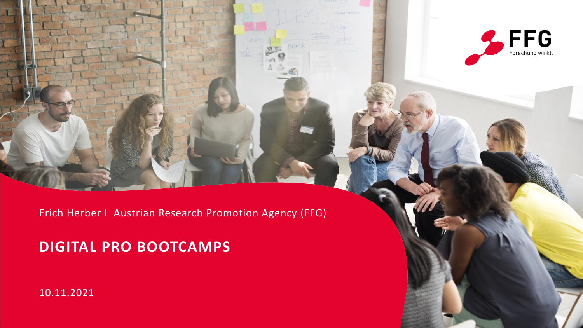

Erich Herber I Austrian Research Promotion Agency (FFG)

### **DIGITAL PRO BOOTCAMPS**

10.11.2021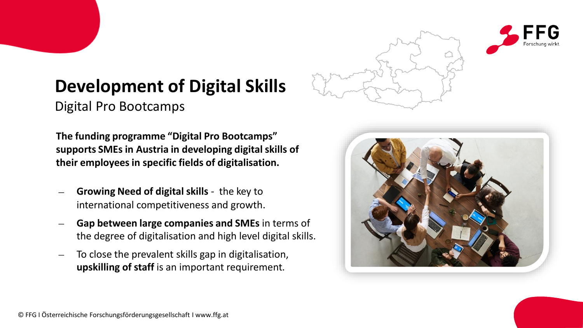

# **Development of Digital Skills**

Digital Pro Bootcamps

**The funding programme "Digital Pro Bootcamps" supports SMEs in Austria in developing digital skills of their employees in specific fields of digitalisation.** 

- − **Growing Need of digital skills**  the key to international competitiveness and growth.
- − **Gap between large companies and SMEs** in terms of the degree of digitalisation and high level digital skills.
- − To close the prevalent skills gap in digitalisation, **upskilling of staff** is an important requirement.

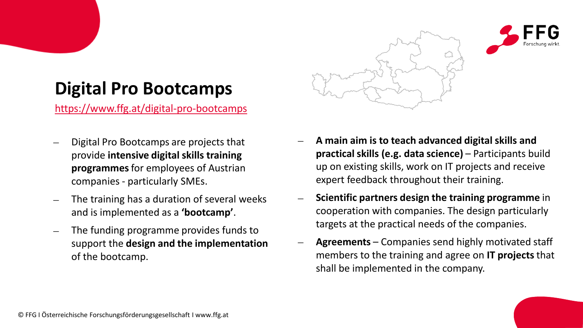![](_page_2_Picture_0.jpeg)

# **Digital Pro Bootcamps**

<https://www.ffg.at/digital-pro-bootcamps>

- − Digital Pro Bootcamps are projects that provide **intensive digital skills training programmes** for employees of Austrian companies - particularly SMEs.
- The training has a duration of several weeks and is implemented as a **'bootcamp'**.
- The funding programme provides funds to support the **design and the implementation**  of the bootcamp.
- − **A main aim is to teach advanced digital skills and practical skills (e.g. data science)** – Participants build up on existing skills, work on IT projects and receive expert feedback throughout their training.
- − **Scientific partners design the training programme** in cooperation with companies. The design particularly targets at the practical needs of the companies.
- − **Agreements**  Companies send highly motivated staff members to the training and agree on **IT projects** that shall be implemented in the company.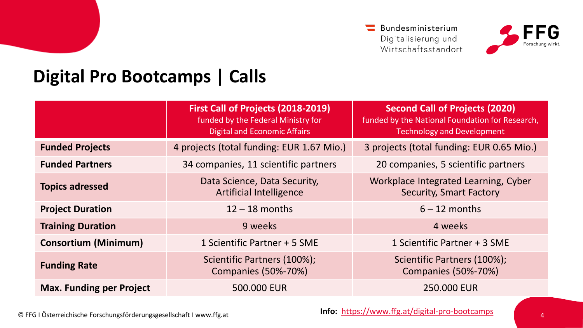$\equiv$  Bundesministerium Digitalisierung und Wirtschaftsstandort

![](_page_3_Picture_1.jpeg)

## **Digital Pro Bootcamps | Calls**

|                                 | First Call of Projects (2018-2019)<br>funded by the Federal Ministry for<br><b>Digital and Economic Affairs</b> | <b>Second Call of Projects (2020)</b><br>funded by the National Foundation for Research,<br><b>Technology and Development</b> |
|---------------------------------|-----------------------------------------------------------------------------------------------------------------|-------------------------------------------------------------------------------------------------------------------------------|
| <b>Funded Projects</b>          | 4 projects (total funding: EUR 1.67 Mio.)                                                                       | 3 projects (total funding: EUR 0.65 Mio.)                                                                                     |
| <b>Funded Partners</b>          | 34 companies, 11 scientific partners                                                                            | 20 companies, 5 scientific partners                                                                                           |
| <b>Topics adressed</b>          | Data Science, Data Security,<br><b>Artificial Intelligence</b>                                                  | Workplace Integrated Learning, Cyber<br>Security, Smart Factory                                                               |
| <b>Project Duration</b>         | $12 - 18$ months                                                                                                | $6 - 12$ months                                                                                                               |
| <b>Training Duration</b>        | 9 weeks                                                                                                         | 4 weeks                                                                                                                       |
| <b>Consortium (Minimum)</b>     | 1 Scientific Partner + 5 SME                                                                                    | 1 Scientific Partner + 3 SME                                                                                                  |
| <b>Funding Rate</b>             | Scientific Partners (100%);<br>Companies (50%-70%)                                                              | Scientific Partners (100%);<br><b>Companies (50%-70%)</b>                                                                     |
| <b>Max. Funding per Project</b> | 500.000 EUR                                                                                                     | 250.000 EUR                                                                                                                   |

© FFG I Österreichische Forschungsförderungsgesellschaft I www.ffg.at

**Info:** <https://www.ffg.at/digital-pro-bootcamps>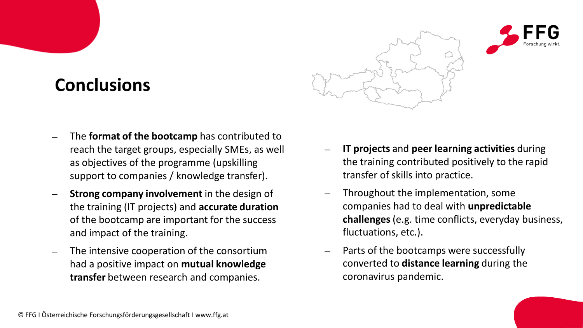## **Conclusions**

![](_page_4_Picture_1.jpeg)

![](_page_4_Picture_2.jpeg)

- The **format of the bootcamp** has contributed to reach the target groups, especially SMEs, as well as objectives of the programme (upskilling support to companies / knowledge transfer).
- **Strong company involvement** in the design of the training (IT projects) and **accurate duration**  of the bootcamp are important for the success and impact of the training.
- The intensive cooperation of the consortium had a positive impact on **mutual knowledge transfer** between research and companies.
- − **IT projects** and **peer learning activities** during the training contributed positively to the rapid transfer of skills into practice.
- Throughout the implementation, some companies had to deal with **unpredictable challenges** (e.g. time conflicts, everyday business, fluctuations, etc.).
- Parts of the bootcamps were successfully converted to **distance learning** during the coronavirus pandemic.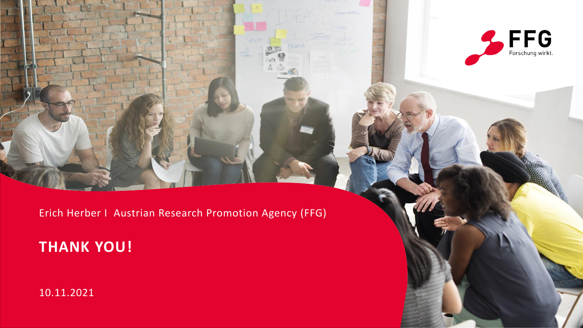![](_page_5_Picture_0.jpeg)

 $FFG$  Forschung wirkt.

### **THANK YOU!**

10.11.2021